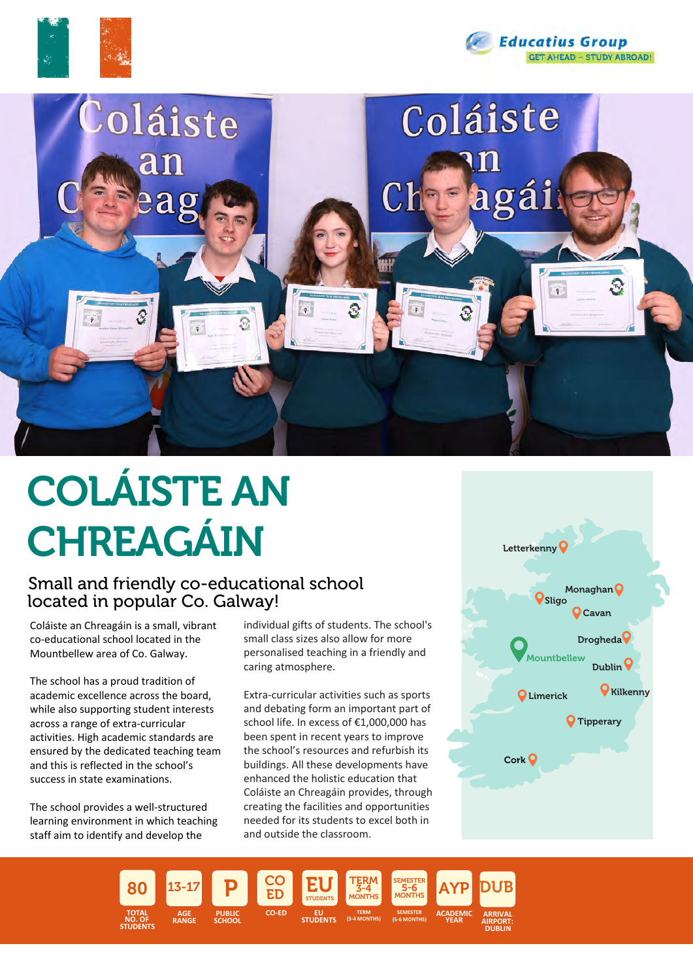





# COLÁISTE AN **CHREAGÁIN**

## Small and friendly co-educational school located in popular Co. Galway!

Coláiste an Chreagáin is a small, vibrant co-educational school located in the Mountbellew area of Co. Galway.

The school has a proud tradition of academic excellence across the board, while also supporting student interests across a range of extra-curricular activities. High academic standards are ensured by the dedicated teaching team and this is reflected in the school's success in state examinations.

The school provides a well-structured learning environment in which teaching staff aim to identify and develop the

individual gifts of students. The school's small class sizes also allow for more personalised teaching in a friendly and caring atmosphere.

Extra-curricular activities such as sports and debating form an important part of school life. In excess of €1,000,000 has been spent in recent years to improve the school's resources and refurbish its buildings. All these developments have enhanced the holistic education that Coláiste an Chreagáin provides, through creating the facilities and opportunities needed for its students to excel both in and outside the classroom.



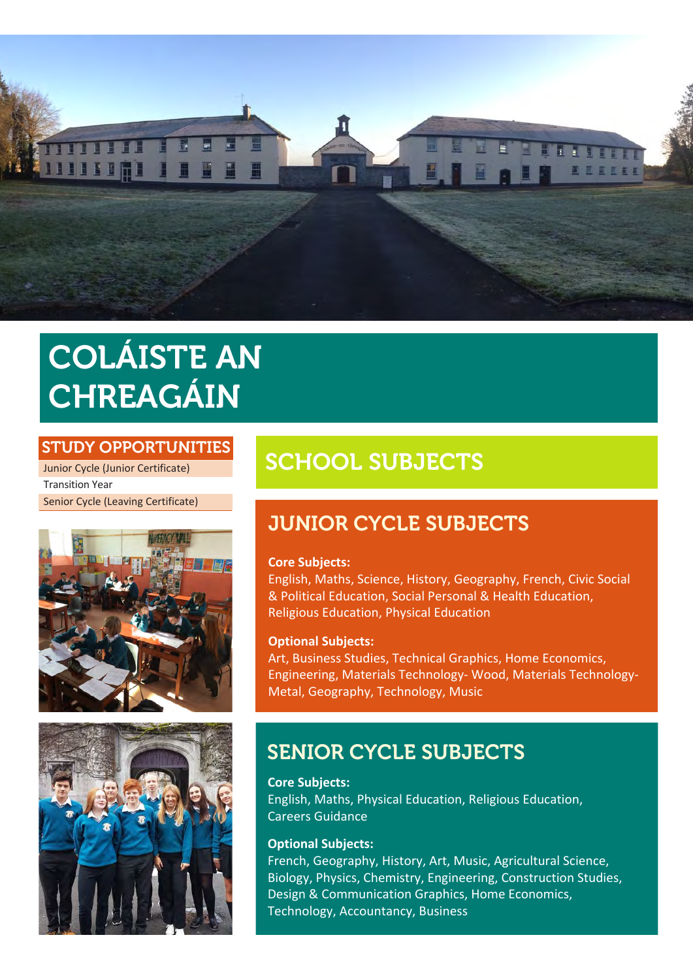

## COLÁISTE AN CHREAGÁIN

## STUDY OPPORTUNITIES

Junior Cycle (Junior Certificate) Transition Year Senior Cycle (Leaving Certificate)





## SCHOOL SUBJECTS

## JUNIOR CYCLE SUBJECTS

### **Core Subjects:**

English, Maths, Science, History, Geography, French, Civic Social & Political Education, Social Personal & Health Education, Religious Education, Physical Education

#### **Optional Subjects:**

Art, Business Studies, Technical Graphics, Home Economics, Engineering, Materials Technology- Wood, Materials Technology-Metal, Geography, Technology, Music

## SENIOR CYCLE SUBJECTS

**Core Subjects:** English, Maths, Physical Education, Religious Education, Careers Guidance

### **Optional Subjects:**

French, Geography, History, Art, Music, Agricultural Science, Biology, Physics, Chemistry, Engineering, Construction Studies, Design & Communication Graphics, Home Economics, Technology, Accountancy, Business